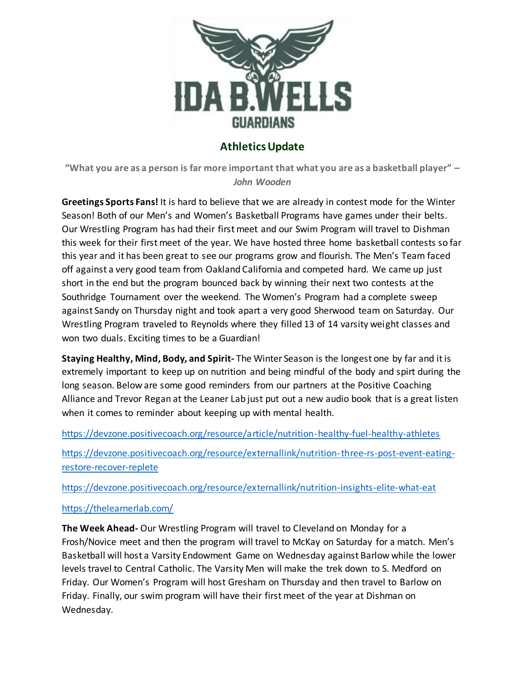

# **Athletics Update**

**"What you are as a person is far more important that what you are as a basketball player"** *– John Wooden*

**Greetings Sports Fans!** It is hard to believe that we are already in contest mode for the Winter Season! Both of our Men's and Women's Basketball Programs have games under their belts. Our Wrestling Program has had their first meet and our Swim Program will travel to Dishman this week for their first meet of the year. We have hosted three home basketball contests so far this year and it has been great to see our programs grow and flourish. The Men's Team faced off against a very good team from Oakland California and competed hard. We came up just short in the end but the program bounced back by winning their next two contests at the Southridge Tournament over the weekend. The Women's Program had a complete sweep against Sandy on Thursday night and took apart a very good Sherwood team on Saturday. Our Wrestling Program traveled to Reynolds where they filled 13 of 14 varsity weight classes and won two duals. Exciting times to be a Guardian!

**Staying Healthy, Mind, Body, and Spirit-** The Winter Season is the longest one by far and it is extremely important to keep up on nutrition and being mindful of the body and spirt during the long season. Below are some good reminders from our partners at the Positive Coaching Alliance and Trevor Regan at the Leaner Lab just put out a new audio book that is a great listen when it comes to reminder about keeping up with mental health.

<https://devzone.positivecoach.org/resource/article/nutrition-healthy-fuel-healthy-athletes>

[https://devzone.positivecoach.org/resource/externallink/nutrition-three-rs-post-event-eating](https://devzone.positivecoach.org/resource/externallink/nutrition-three-rs-post-event-eating-restore-recover-replete)[restore-recover-replete](https://devzone.positivecoach.org/resource/externallink/nutrition-three-rs-post-event-eating-restore-recover-replete)

<https://devzone.positivecoach.org/resource/externallink/nutrition-insights-elite-what-eat>

<https://thelearnerlab.com/>

**The Week Ahead-** Our Wrestling Program will travel to Cleveland on Monday for a Frosh/Novice meet and then the program will travel to McKay on Saturday for a match. Men's Basketball will host a Varsity Endowment Game on Wednesday against Barlow while the lower levels travel to Central Catholic. The Varsity Men will make the trek down to S. Medford on Friday. Our Women's Program will host Gresham on Thursday and then travel to Barlow on Friday. Finally, our swim program will have their first meet of the year at Dishman on Wednesday.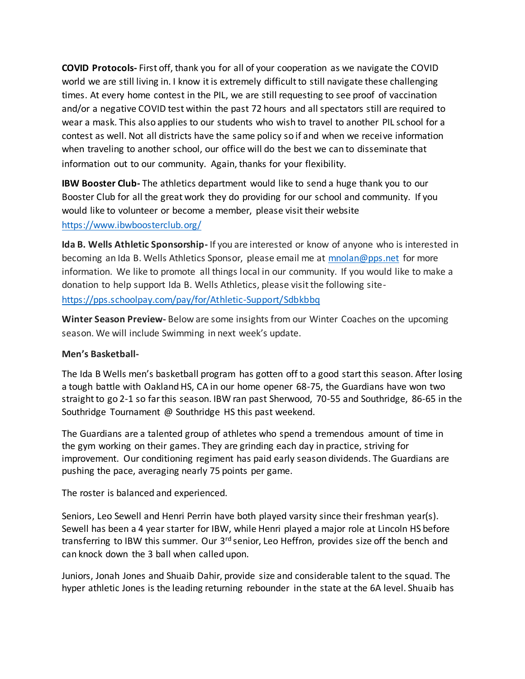**COVID Protocols-** First off, thank you for all of your cooperation as we navigate the COVID world we are still living in. I know it is extremely difficult to still navigate these challenging times. At every home contest in the PIL, we are still requesting to see proof of vaccination and/or a negative COVID test within the past 72 hours and all spectators still are required to wear a mask. This also applies to our students who wish to travel to another PIL school for a contest as well. Not all districts have the same policy so if and when we receive information when traveling to another school, our office will do the best we can to disseminate that information out to our community. Again, thanks for your flexibility.

**IBW Booster Club-** The athletics department would like to send a huge thank you to our Booster Club for all the great work they do providing for our school and community. If you would like to volunteer or become a member, please visit their website <https://www.ibwboosterclub.org/>

**Ida B. Wells Athletic Sponsorship-** If you are interested or know of anyone who is interested in becoming an Ida B. Wells Athletics Sponsor, please email me at [mnolan@pps.net](mailto:mnolan@pps.net) for more information. We like to promote all things local in our community. If you would like to make a donation to help support Ida B. Wells Athletics, please visit the following site<https://pps.schoolpay.com/pay/for/Athletic-Support/Sdbkbbq>

**Winter Season Preview-** Below are some insights from our Winter Coaches on the upcoming season. We will include Swimming in next week's update.

# **Men's Basketball-**

The Ida B Wells men's basketball program has gotten off to a good start this season. After losing a tough battle with Oakland HS, CA in our home opener 68-75, the Guardians have won two straight to go 2-1 so far this season. IBW ran past Sherwood, 70-55 and Southridge, 86-65 in the Southridge Tournament @ Southridge HS this past weekend.

The Guardians are a talented group of athletes who spend a tremendous amount of time in the gym working on their games. They are grinding each day in practice, striving for improvement. Our conditioning regiment has paid early season dividends. The Guardians are pushing the pace, averaging nearly 75 points per game.

The roster is balanced and experienced.

Seniors, Leo Sewell and Henri Perrin have both played varsity since their freshman year(s). Sewell has been a 4 year starter for IBW, while Henri played a major role at Lincoln HS before transferring to IBW this summer. Our 3<sup>rd</sup> senior, Leo Heffron, provides size off the bench and can knock down the 3 ball when called upon.

Juniors, Jonah Jones and Shuaib Dahir, provide size and considerable talent to the squad. The hyper athletic Jones is the leading returning rebounder in the state at the 6A level. Shuaib has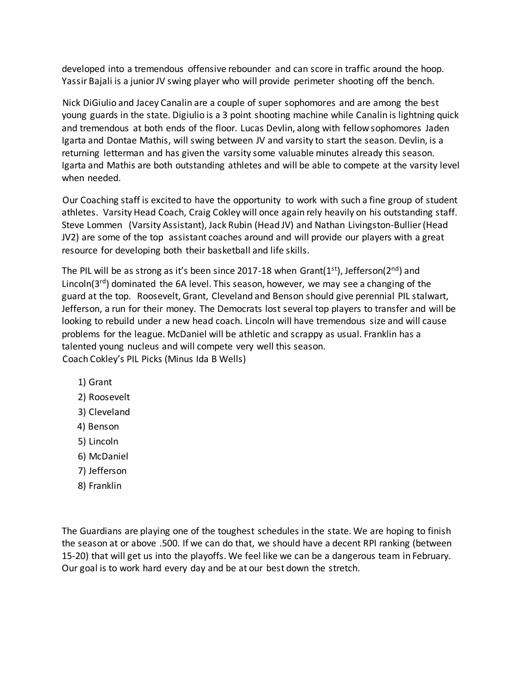developed into a tremendous offensive rebounder and can score in traffic around the hoop. Yassir Bajali is a junior JV swing player who will provide perimeter shooting off the bench.

Nick DiGiulio and Jacey Canalin are a couple of super sophomores and are among the best young guards in the state. Digiulio is a 3 point shooting machine while Canalin is lightning quick and tremendous at both ends of the floor. Lucas Devlin, along with fellow sophomores Jaden Igarta and Dontae Mathis, will swing between JV and varsity to start the season. Devlin, is a returning letterman and has given the varsity some valuable minutes already this season. Igarta and Mathis are both outstanding athletes and will be able to compete at the varsity level when needed.

Our Coaching staff is excited to have the opportunity to work with such a fine group of student athletes. Varsity Head Coach, Craig Cokley will once again rely heavily on his outstanding staff. Steve Lommen (Varsity Assistant), Jack Rubin (Head JV) and Nathan Livingston-Bullier (Head JV2) are some of the top assistant coaches around and will provide our players with a great resource for developing both their basketball and life skills.

The PIL will be as strong as it's been since 2017-18 when Grant( $1<sup>st</sup>$ ), Jefferson( $2<sup>nd</sup>$ ) and Lincoln( $3^{rd}$ ) dominated the 6A level. This season, however, we may see a changing of the guard at the top. Roosevelt, Grant, Cleveland and Benson should give perennial PIL stalwart, Jefferson, a run for their money. The Democrats lost several top players to transfer and will be looking to rebuild under a new head coach. Lincoln will have tremendous size and will cause problems for the league. McDaniel will be athletic and scrappy as usual. Franklin has a talented young nucleus and will compete very well this season. Coach Cokley's PIL Picks (Minus Ida B Wells)

- 1) Grant
- 2) Roosevelt
- 3) Cleveland
- 4) Benson
- 5) Lincoln
- 6) McDaniel
- 7) Jefferson
- 8) Franklin

The Guardians are playing one of the toughest schedules in the state. We are hoping to finish the season at or above .500. If we can do that, we should have a decent RPI ranking (between 15-20) that will get us into the playoffs. We feel like we can be a dangerous team in February. Our goal is to work hard every day and be at our best down the stretch.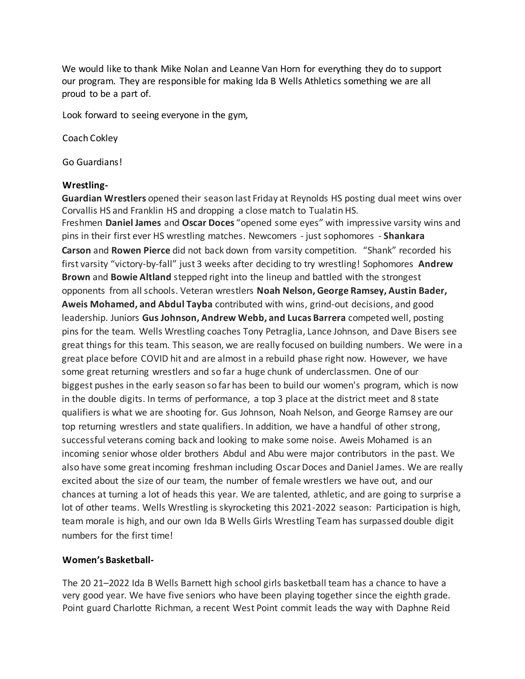We would like to thank Mike Nolan and Leanne Van Horn for everything they do to support our program. They are responsible for making Ida B Wells Athletics something we are all proud to be a part of.

Look forward to seeing everyone in the gym,

Coach Cokley

Go Guardians!

### **Wrestling-**

**Guardian Wrestlers** opened their season last Friday at Reynolds HS posting dual meet wins over Corvallis HS and Franklin HS and dropping a close match to Tualatin HS. Freshmen **Daniel James** and **Oscar Doces** "opened some eyes" with impressive varsity wins and pins in their first ever HS wrestling matches. Newcomers - just sophomores - **Shankara Carson** and **Rowen Pierce** did not back down from varsity competition. "Shank" recorded his first varsity "victory-by-fall" just 3 weeks after deciding to try wrestling! Sophomores **Andrew Brown** and **Bowie Altland** stepped right into the lineup and battled with the strongest opponents from all schools. Veteran wrestlers **Noah Nelson, George Ramsey, Austin Bader, Aweis Mohamed, and Abdul Tayba** contributed with wins, grind-out decisions, and good leadership. Juniors **Gus Johnson, Andrew Webb, and Lucas Barrera** competed well, posting pins for the team. Wells Wrestling coaches Tony Petraglia, Lance Johnson, and Dave Bisers see great things for this team. This season, we are really focused on building numbers. We were in a great place before COVID hit and are almost in a rebuild phase right now. However, we have some great returning wrestlers and so far a huge chunk of underclassmen. One of our biggest pushes in the early season so far has been to build our women's program, which is now in the double digits. In terms of performance, a top 3 place at the district meet and 8 state qualifiers is what we are shooting for. Gus Johnson, Noah Nelson, and George Ramsey are our top returning wrestlers and state qualifiers. In addition, we have a handful of other strong, successful veterans coming back and looking to make some noise. Aweis Mohamed is an incoming senior whose older brothers Abdul and Abu were major contributors in the past. We also have some great incoming freshman including Oscar Doces and Daniel James. We are really excited about the size of our team, the number of female wrestlers we have out, and our chances at turning a lot of heads this year. We are talented, athletic, and are going to surprise a lot of other teams. Wells Wrestling is skyrocketing this 2021-2022 season: Participation is high, team morale is high, and our own Ida B Wells Girls Wrestling Team has surpassed double digit numbers for the first time!

# **Women's Basketball-**

The 20 21–2022 Ida B Wells Barnett high school girls basketball team has a chance to have a very good year. We have five seniors who have been playing together since the eighth grade. Point guard Charlotte Richman, a recent West Point commit leads the way with Daphne Reid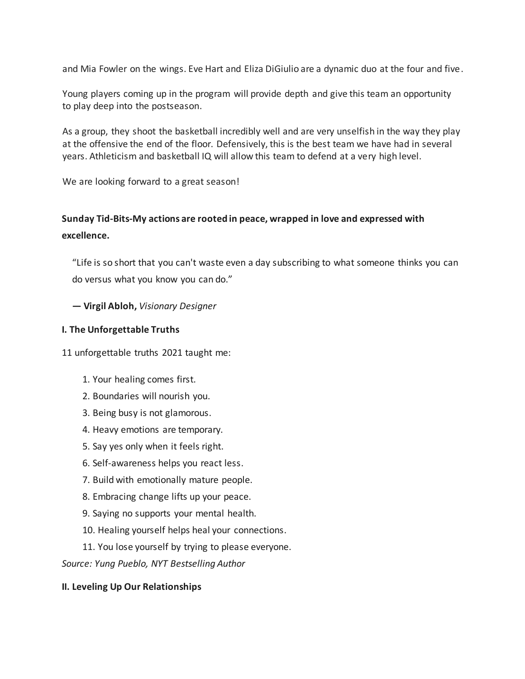and Mia Fowler on the wings. Eve Hart and Eliza DiGiulio are a dynamic duo at the four and five.

Young players coming up in the program will provide depth and give this team an opportunity to play deep into the postseason.

As a group, they shoot the basketball incredibly well and are very unselfish in the way they play at the offensive the end of the floor. Defensively, this is the best team we have had in several years. Athleticism and basketball IQ will allow this team to defend at a very high level.

We are looking forward to a great season!

# **Sunday Tid-Bits-My actions are rooted in peace, wrapped in love and expressed with excellence.**

"Life is so short that you can't waste even a day subscribing to what someone thinks you can do versus what you know you can do."

**― Virgil Abloh,** *Visionary Designer*

# **I. The Unforgettable Truths**

11 unforgettable truths 2021 taught me:

- 1. Your healing comes first.
- 2. Boundaries will nourish you.
- 3. Being busy is not glamorous.
- 4. Heavy emotions are temporary.
- 5. Say yes only when it feels right.
- 6. Self-awareness helps you react less.
- 7. Build with emotionally mature people.
- 8. Embracing change lifts up your peace.
- 9. Saying no supports your mental health.
- 10. Healing yourself helps heal your connections.
- 11. You lose yourself by trying to please everyone.

*Source: Yung Pueblo, NYT Bestselling Author*

# **II. Leveling Up Our Relationships**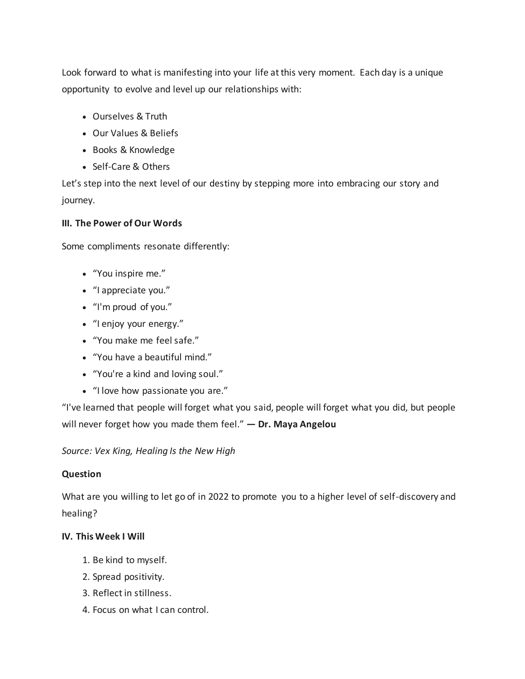Look forward to what is manifesting into your life at this very moment. Each day is a unique opportunity to evolve and level up our relationships with:

- Ourselves & Truth
- Our Values & Beliefs
- Books & Knowledge
- Self-Care & Others

Let's step into the next level of our destiny by stepping more into embracing our story and journey.

# **III. The Power of Our Words**

Some compliments resonate differently:

- "You inspire me."
- "I appreciate you."
- "I'm proud of you."
- "I enjoy your energy."
- "You make me feel safe."
- "You have a beautiful mind."
- "You're a kind and loving soul."
- "I love how passionate you are."

"I've learned that people will forget what you said, people will forget what you did, but people will never forget how you made them feel." **― Dr. Maya Angelou**

*Source: Vex King, Healing Is the New High*

# **Question**

What are you willing to let go of in 2022 to promote you to a higher level of self-discovery and healing?

# **IV. This Week I Will**

- 1. Be kind to myself.
- 2. Spread positivity.
- 3. Reflect in stillness.
- 4. Focus on what I can control.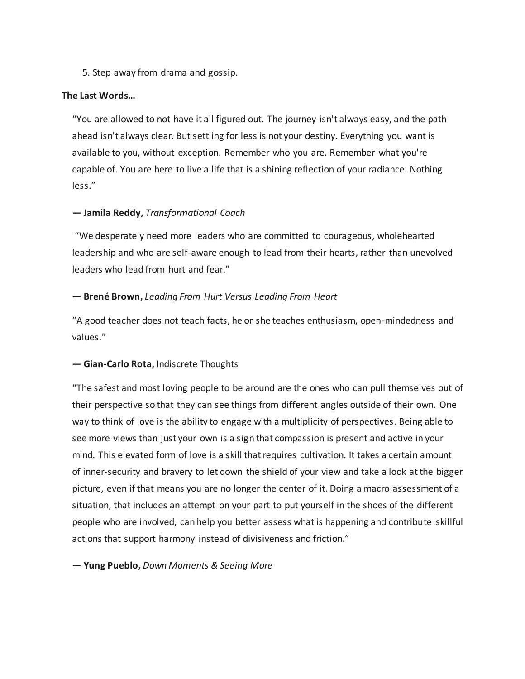5. Step away from drama and gossip.

#### **The Last Words…**

"You are allowed to not have it all figured out. The journey isn't always easy, and the path ahead isn't always clear. But settling for less is not your destiny. Everything you want is available to you, without exception. Remember who you are. Remember what you're capable of. You are here to live a life that is a shining reflection of your radiance. Nothing less."

#### **― Jamila Reddy,** *Transformational Coach*

"We desperately need more leaders who are committed to courageous, wholehearted leadership and who are self-aware enough to lead from their hearts, rather than unevolved leaders who lead from hurt and fear."

#### **― Brené Brown,** *Leading From Hurt Versus Leading From Heart*

"A good teacher does not teach facts, he or she teaches enthusiasm, open-mindedness and values."

#### **― Gian-Carlo Rota,** Indiscrete Thoughts

"The safest and most loving people to be around are the ones who can pull themselves out of their perspective so that they can see things from different angles outside of their own. One way to think of love is the ability to engage with a multiplicity of perspectives. Being able to see more views than just your own is a sign that compassion is present and active in your mind. This elevated form of love is a skill that requires cultivation. It takes a certain amount of inner-security and bravery to let down the shield of your view and take a look at the bigger picture, even if that means you are no longer the center of it. Doing a macro assessment of a situation, that includes an attempt on your part to put yourself in the shoes of the different people who are involved, can help you better assess what is happening and contribute skillful actions that support harmony instead of divisiveness and friction."

― **Yung Pueblo,** *Down Moments & Seeing More*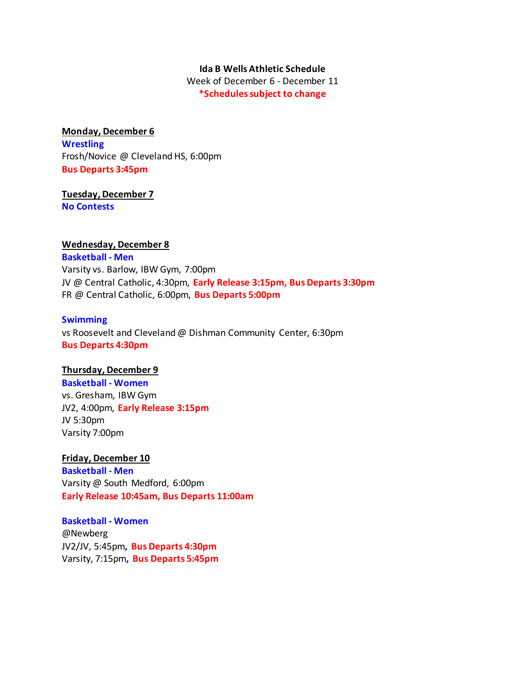#### **Ida B Wells Athletic Schedule**

Week of December 6 - December 11 **\*Schedules subject to change**

#### **Monday, December 6**

**Wrestling** Frosh/Novice @ Cleveland HS, 6:00pm **Bus Departs 3:45pm**

#### **Tuesday, December 7 No Contests**

#### **Wednesday, December 8**

**Basketball - Men** Varsity vs. Barlow, IBW Gym, 7:00pm JV @ Central Catholic, 4:30pm, **Early Release 3:15pm, Bus Departs 3:30pm** FR @ Central Catholic, 6:00pm, **Bus Departs 5:00pm**

#### **Swimming**

vs Roosevelt and Cleveland @ Dishman Community Center, 6:30pm **Bus Departs 4:30pm**

#### **Thursday, December 9**

**Basketball - Women** vs. Gresham, IBW Gym JV2, 4:00pm, **Early Release 3:15pm** JV 5:30pm Varsity 7:00pm

#### **Friday, December 10**

**Basketball - Men** Varsity @ South Medford, 6:00pm **Early Release 10:45am, Bus Departs 11:00am**

#### **Basketball - Women**

@Newberg JV2/JV, 5:45pm**, Bus Departs 4:30pm** Varsity, 7:15pm**, Bus Departs 5:45pm**